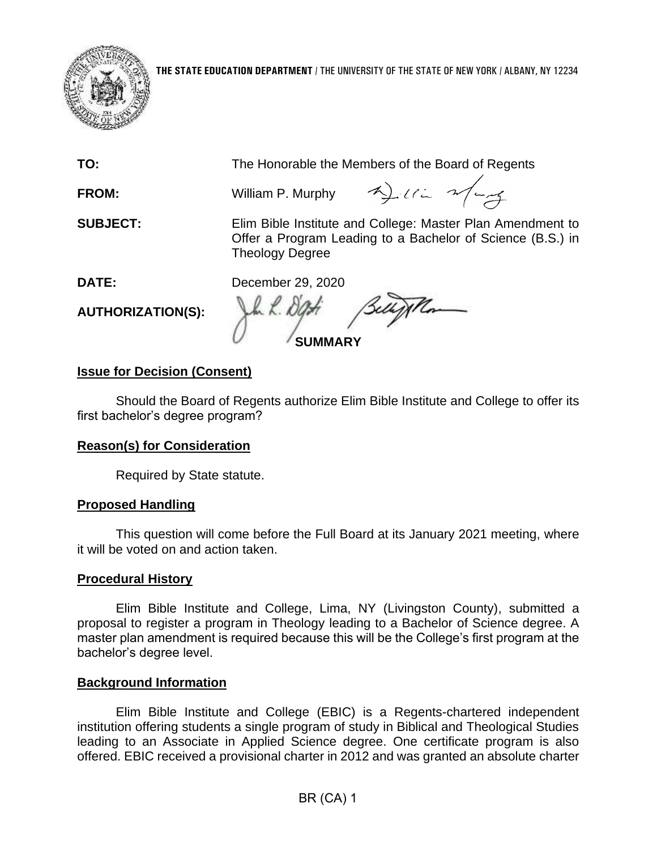

**TO:** The Honorable the Members of the Board of Regents

**FROM:** William P. Murphy

 Offer a Program Leading to a Bachelor of Science (B.S.) in **SUBJECT:** Elim Bible Institute and College: Master Plan Amendment to Theology Degree

**DATE:** 

December 29, 2020

**AUTHORIZATION(S):** 

m. K. DGH **SUMMARY** 

# **Issue for Decision (Consent)**

Should the Board of Regents authorize Elim Bible Institute and College to offer its first bachelor's degree program?

## **Reason(s) for Consideration**

Required by State statute.

## **Proposed Handling**

This question will come before the Full Board at its January 2021 meeting, where it will be voted on and action taken.

## **Procedural History**

 Elim Bible Institute and College, Lima, NY (Livingston County), submitted a proposal to register a program in Theology leading to a Bachelor of Science degree. A master plan amendment is required because this will be the College's first program at the bachelor's degree level.

## **Background Information**

Elim Bible Institute and College (EBIC) is a Regents-chartered independent institution offering students a single program of study in Biblical and Theological Studies leading to an Associate in Applied Science degree. One certificate program is also offered. EBIC received a provisional charter in 2012 and was granted an absolute charter